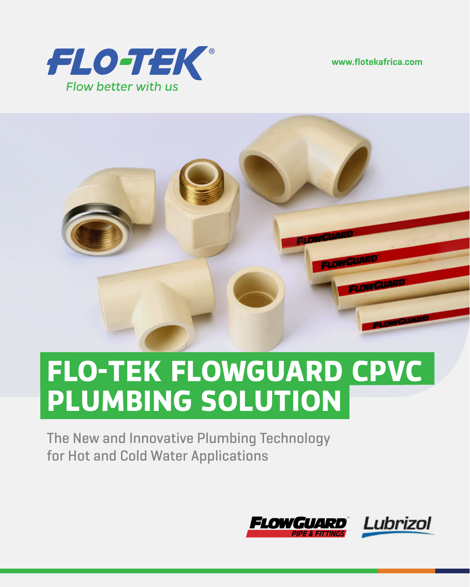**www.flotekafrica.com**





# **FLO-TEK FLOWGUARD CPVC PLUMBING SOLUTION**

**The New and Innovative Plumbing Technology for Hot and Cold Water Applications**

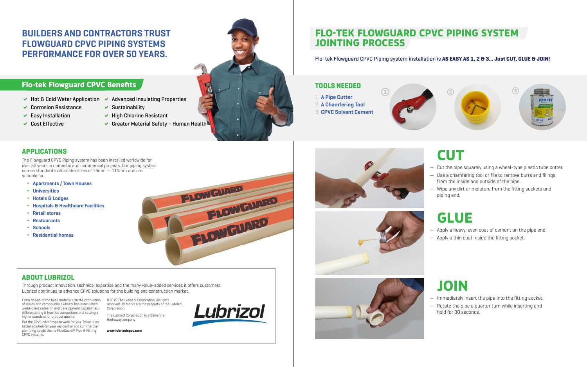### **Flo-tek Flowguard CPVC Benefits**

- D **Hot & Cold Water Application** D **Advanced Insulating Properties**
- **↓ Corrosion Resistance**
- **►** Easy Installation
- **↓ Cost Effective**
- ◆ Sustainability ◆ High Chlorine Resistant
- 
- Greater Material Safety Human Health



## **BUILDERS AND CONTRACTORS TRUST FLOWGUARD CPVC PIPING SYSTEMS PERFORMANCE FOR OVER 50 YEARS.**

- *◊* **Apartments / Town Houses**
- *◊* **Universities**
- *◊* **Hotels & Lodges**
- *◊* **Hospitals & Healthcare Facilities**
- *◊* **Retail stores**
- *◊* **Restaurants**
- *◊* **Schools**
- *◊* **Residential homes**



Lubrizol

The Flowguard CPVC Piping system has been installed worldwide for over 50 years in domestic and commercial projects. Our piping system comes standard in diameter sizes of 16mm — 110mm and are suitable for:

Through product innovation, technical expertise and the many value-added services it offers customers, Lubrizol continues to advance CPVC solutions for the building and construction market.

Cut the pipe squarely using a wheel-type plastic tube cutter. — Use a chamfering tool or file to remove burrs and filings from the inside and outside of the pipe.

From design of the base materials, to the production of resins and compounds, Lubrizol has established world-class research and development capabilities, differentiating it from its competitors and setting a higher standard for product quality.

Put the CPVC advantage to work for you. There is no better solution for your residential and commercial plumbing needs than a FlowGuard® Pipe & Fitting CPVC systems.

©2015 The Lubrizol Corporation, all rights reserved. All marks are the property of the Lubrizol Corporation.

The Lubrizol Corporation is a Berkshire Hathawaycompany.

**www.lubrizolcpvc.com**

### **APPLICATIONS**

## **ABOUT LUBRIZOL**

### **TOOLS NEEDED**

- 1. **A Pipe Cutter**
- 2. **A Chamfering Tool**
- 3. **CPVC Solvent Cement**

## **FLO-TEK FLOWGUARD CPVC PIPING SYSTEM JOINTING PROCESS**

**Flo-tek Flowguard CPVC Piping system installation is AS EASY AS 1, 2 & 3… Just CUT, GLUE & JOIN!**

# **CUT**

— Wipe any dirt or moisture from the fitting sockets and

- 
- 
- piping end.

# **GLUE**

- 
- 

— Apply a heavy, even coat of cement on the pipe end. — Apply a thin coat inside the fitting socket.



## **JOIN**

— Immediately insert the pipe into the fitting socket. — Rotate the pipe a quarter turn while inserting and

- 
- hold for 30 seconds.